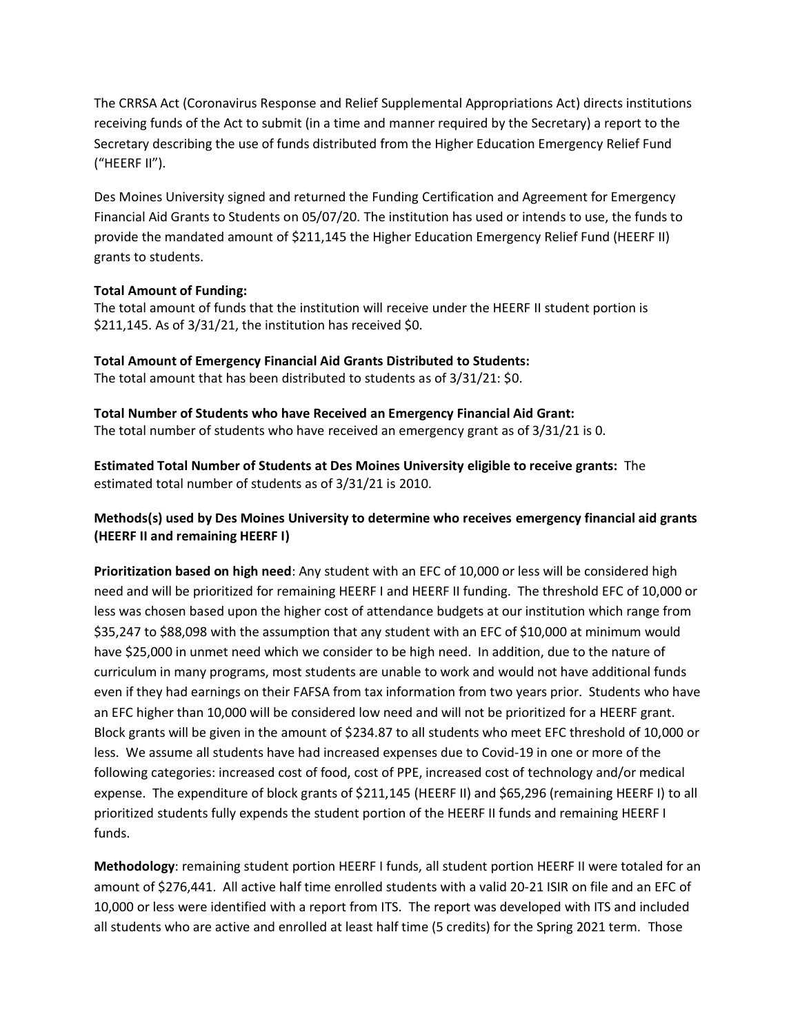The CRRSA Act (Coronavirus Response and Relief Supplemental Appropriations Act) directs institutions receiving funds of the Act to submit (in a time and manner required by the Secretary) a report to the Secretary describing the use of funds distributed from the Higher Education Emergency Relief Fund ("HEERF II").

Des Moines University signed and returned the Funding Certification and Agreement for Emergency Financial Aid Grants to Students on 05/07/20. The institution has used or intends to use, the funds to provide the mandated amount of \$211,145 the Higher Education Emergency Relief Fund (HEERF II) grants to students.

## **Total Amount of Funding:**

The total amount of funds that the institution will receive under the HEERF II student portion is \$211,145. As of 3/31/21, the institution has received \$0.

**Total Amount of Emergency Financial Aid Grants Distributed to Students:** The total amount that has been distributed to students as of 3/31/21: \$0.

**Total Number of Students who have Received an Emergency Financial Aid Grant:** The total number of students who have received an emergency grant as of 3/31/21 is 0.

**Estimated Total Number of Students at Des Moines University eligible to receive grants:** The estimated total number of students as of 3/31/21 is 2010.

## **Methods(s) used by Des Moines University to determine who receives emergency financial aid grants (HEERF II and remaining HEERF I)**

**Prioritization based on high need**: Any student with an EFC of 10,000 or less will be considered high need and will be prioritized for remaining HEERF I and HEERF II funding. The threshold EFC of 10,000 or less was chosen based upon the higher cost of attendance budgets at our institution which range from \$35,247 to \$88,098 with the assumption that any student with an EFC of \$10,000 at minimum would have \$25,000 in unmet need which we consider to be high need. In addition, due to the nature of curriculum in many programs, most students are unable to work and would not have additional funds even if they had earnings on their FAFSA from tax information from two years prior. Students who have an EFC higher than 10,000 will be considered low need and will not be prioritized for a HEERF grant. Block grants will be given in the amount of \$234.87 to all students who meet EFC threshold of 10,000 or less. We assume all students have had increased expenses due to Covid-19 in one or more of the following categories: increased cost of food, cost of PPE, increased cost of technology and/or medical expense. The expenditure of block grants of \$211,145 (HEERF II) and \$65,296 (remaining HEERF I) to all prioritized students fully expends the student portion of the HEERF II funds and remaining HEERF I funds.

**Methodology**: remaining student portion HEERF I funds, all student portion HEERF II were totaled for an amount of \$276,441. All active half time enrolled students with a valid 20-21 ISIR on file and an EFC of 10,000 or less were identified with a report from ITS. The report was developed with ITS and included all students who are active and enrolled at least half time (5 credits) for the Spring 2021 term. Those